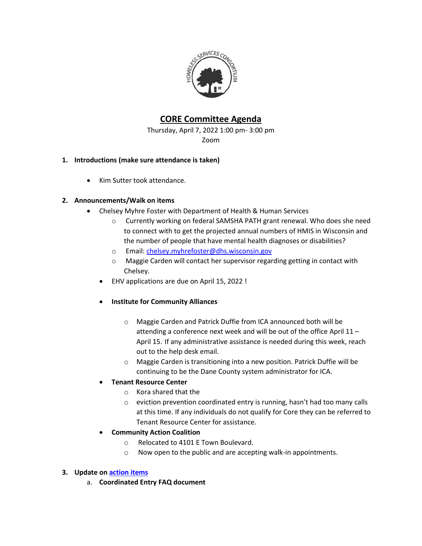

# **CORE Committee Agenda**

Thursday, April 7, 2022 1:00 pm- 3:00 pm Zoom

## **1. Introductions (make sure attendance is taken)**

• Kim Sutter took attendance.

## **2. Announcements/Walk on items**

- Chelsey Myhre Foster with Department of Health & Human Services
	- o Currently working on federal SAMSHA PATH grant renewal. Who does she need to connect with to get the projected annual numbers of HMIS in Wisconsin and the number of people that have mental health diagnoses or disabilities?
	- o Email: [chelsey.myhrefoster@dhs.wisconsin.gov](mailto:chelsey.myhrefoster@dhs.wisconsin.gov)
	- o Maggie Carden will contact her supervisor regarding getting in contact with Chelsey.
	- EHV applications are due on April 15, 2022 !
	- **Institute for Community Alliances** 
		- o Maggie Carden and Patrick Duffie from ICA announced both will be attending a conference next week and will be out of the office April 11 – April 15. If any administrative assistance is needed during this week, reach out to the help desk email.
		- o Maggie Carden is transitioning into a new position. Patrick Duffie will be continuing to be the Dane County system administrator for ICA.

## **Tenant Resource Center**

- o Kora shared that the
- o eviction prevention coordinated entry is running, hasn't had too many calls at this time. If any individuals do not qualify for Core they can be referred to Tenant Resource Center for assistance.

# **Community Action Coalition**

- o Relocated to 4101 E Town Boulevard.
- o Now open to the public and are accepting walk-in appointments.

## **3. Update o[n action items](https://docs.google.com/spreadsheets/d/13ZcNFYjt9ZqhSnPTpnYo80MKIbehsPPEUunvP4505Qw/edit?usp=sharing)**

a. **Coordinated Entry FAQ document**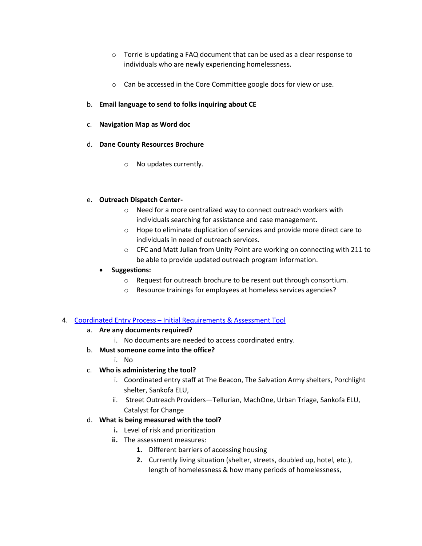- o Torrie is updating a FAQ document that can be used as a clear response to individuals who are newly experiencing homelessness.
- o Can be accessed in the Core Committee google docs for view or use.

### b. **Email language to send to folks inquiring about CE**

- c. **Navigation Map as Word doc**
- d. **Dane County Resources Brochure**
	- o No updates currently.

#### e. **Outreach Dispatch Center-**

- o Need for a more centralized way to connect outreach workers with individuals searching for assistance and case management.
- o Hope to eliminate duplication of services and provide more direct care to individuals in need of outreach services.
- o CFC and Matt Julian from Unity Point are working on connecting with 211 to be able to provide updated outreach program information.

#### **Suggestions:**

- o Request for outreach brochure to be resent out through consortium.
- o Resource trainings for employees at homeless services agencies?

#### 4. Coordinated Entry Process – [Initial Requirements & Assessment Tool](https://endhomelessness.org/wp-content/uploads/2020/06/NAEH-CE-Processes-Racial-Disparities-Flowchart-FINAL.pdf)

## a. **Are any documents required?**

- i. No documents are needed to access coordinated entry.
- b. **Must someone come into the office?** 
	- i. No

## c. **Who is administering the tool?**

- i. Coordinated entry staff at The Beacon, The Salvation Army shelters, Porchlight shelter, Sankofa ELU,
- ii. Street Outreach Providers—Tellurian, MachOne, Urban Triage, Sankofa ELU, Catalyst for Change

## d. **What is being measured with the tool?**

- **i.** Level of risk and prioritization
- **ii.** The assessment measures:
	- **1.** Different barriers of accessing housing
	- **2.** Currently living situation (shelter, streets, doubled up, hotel, etc.), length of homelessness & how many periods of homelessness,